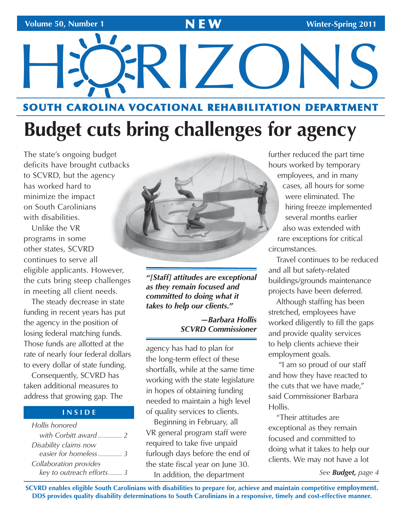# HÖRIZONS

# **SOUTH CAROLINA VOCATIONAL REHABILITATION DEPARTMENT**

# **Budget cuts bring challenges for agency**

 The state's ongoing budget deficits have brought cutbacks has worked hard to on South Carolinians to SCVRD, but the agency minimize the impact with disabilities.

 programs in some eligible applicants. However, the cuts bring steep challenges Unlike the VR other states, SCVRD continues to serve all in meeting all client needs.

The steady decrease in state funding in recent years has put the agency in the position of losing federal matching funds. Those funds are allotted at the rate of nearly four federal dollars to every dollar of state funding.

Consequently, SCVRD has taken additional measures to address that growing gap. The

### **I N S I D E**

*Hollis honored with Corbitt award ............ 2 Disability claims now easier for homeless............ 3 Collaboration provides key to outreach efforts....... 3* 



*"[Staff] attitudes are exceptional as they remain focused and committed to doing what it takes to help our clients."* 

### *—Barbara Hollis SCVRD Commissioner*

agency has had to plan for the long-term effect of these shortfalls, while at the same time working with the state legislature in hopes of obtaining funding needed to maintain a high level of quality services to clients.

Beginning in February, all VR general program staff were required to take five unpaid furlough days before the end of the state fiscal year on June 30. In addition, the department

further reduced the part time hours worked by temporary employees, and in many cases, all hours for some were eliminated. The hiring freeze implemented several months earlier also was extended with rare exceptions for critical circumstances.

Travel continues to be reduced and all but safety-related buildings/grounds maintenance projects have been deferred.

Although staffing has been stretched, employees have worked diligently to fill the gaps and provide quality services to help clients achieve their employment goals.

 "I am so proud of our staff and how they have reacted to the cuts that we have made," said Commissioner Barbara Hollis.

"Their attitudes are exceptional as they remain focused and committed to doing what it takes to help our clients. We may not have a lot

*See Budget, page 4* 

**SCVRD enables eligible South Carolinians with disabilities to prepare for, achieve and maintain competitive employment. DDS provides quality disability determinations to South Carolinians in a responsive, timely and cost-effective manner.**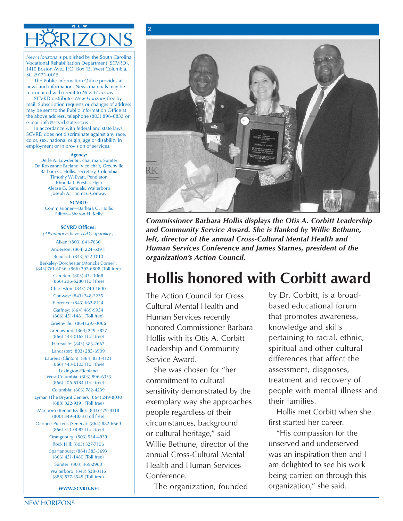### **N E W**  HÖRIZONS

**2** 

*New Horizons* is published by the South Carolina Vocational Rehabilitation Department (SCVRD), 1410 Boston Ave., P.O. Box 15, West Columbia, SC 29171-0015.

The Public Information Office provides all news and information. News materials may be reproduced with credit to *New Horizons.* 

SCVRD distributes *New Horizons* free by mail. Subscription requests or changes of address may be sent to the Public Information Office at the above address, telephone (803) 896-6833 or e-mail info@scvrd.state.sc.us

In accordance with federal and state laws, SCVRD does not discriminate against any race, color, sex, national origin, age or disability in employment or in provision of services.

### **Agency:**

Derle A. Lowder Sr., chairman, Sumter Dr. Roxzanne Breland, vice chair, Greenville Barbara G. Hollis, secretary, Columbia Timothy W. Evatt, Pendleton Rhonda J. Presha, Elgin Alease G. Samuels, Walterboro Joseph A. Thomas, Conway

> **SCVRD:**  Commissioner—Barbara G. Hollis Editor—Sharon H. Kelly

**Beaufort: (843) 522-1010** *organization's Action Council.* **Berkeley-Dorchester (Moncks Corner):** (843) 761-6036; (866) 297-6808 (Toll free) Camden: (803) 432-1068<br>(866) 206-5280 (Toll free)

Charleston: (843) 740-1600

(866) 443-0103 (Toll free)

Columbia: (803) 782-4239

Lyman (The Bryant Center): (864) 249-8030

(800) 849-4878 (Toll free)



Anderson: (864) 224-6391) **Human Services Conference and James Starnes, president of the** *Commissioner Barbara Hollis displays the Otis A. Corbitt Leadership*  **SCVRD Offices:** *and Community Service Award. She is flanked by Willie Bethune, (All numbers have TDD capability.) left, director of the annual Cross-Cultural Mental Health and*  $\frac{\text{Alken: (803) 641-7630}}{2000}$ 

# (866) 206-5280 (Toll free) **Hollis honored with Corbitt award**

 Conway: (843) 248-2235 The Action Council for Cross by Dr. Corbitt, is a broad-Florence: (843) 662-8114 **Cultural Mental Health and** based educational forum Gaffney: (864) 489-9954  $(866)$  451-1481 (Toll free) Human Services recently that promotes awareness, Hollis with its Otis A. Corbitt (866)  $443-0162$  (Toll free) Hollis with its Otis A. Corbitt pertaining to racial, ethnic, Hartsville: (843) 383-2662 Laurens (Clinton): (864) 833-4121 Service Award. differences that affect the Greenville: (864) 297-3066 **honored Commissioner Barbara** knowledge and skills Greenwood: (864) 229-5827 Hartsville: (843) 383-2662<br>Lancaster: (803) 285-6909 **Leadership and Community** 

commitment to cultural  $(888)$  322-9391 (Toll free) exemplary way she approaches their families. Marlboro (Bennettsville): (843) 479-8318 **people regardless of their** Hollis met Corbitt when she **Hollis** met Corbitt when she Rock Hill: (803) 327-7106 **Willie Bethune, director of the** unserved and underserved **Health and Human Services** West Columbia: (803) 896-6333<br>(866) 206-5184 (Toll free) commitment to cultural treatment and recovery of Sumter: (803) 469-2960 **Health and Human Services** am delighted to see his work Walterboro: (843) 538-3116  $(888)$  577-3549 (Toll free)  $\qquad \qquad$  Conference. being carried on through this  $L_{\text{Exmpton-Richland}}$  Lexington-Richland She was chosen for "her assessment, diagnoses, Oconee-Pickens (Seneca): (864) 882-6669 circumstances, background first started her career.<br>
(866) 313-0082 (Toll free) circumstances, background first started her career. (866) 313-0082 (Toll free) or cultural heritage," said "His compassion for the Orangeburg: (803) 534-4939 Spartanburg: (864) 585-3693 **annual Cross-Cultural Mental** (866) 451-1480 (Toll free)

**www.scvrd.net** The organization, founded organization," she said.

| sensitivity demonstrated by the people with mental illness and that promotes awareness, knowledge and skills spiritual and other cultural

"His compassion for the was an inspiration then and I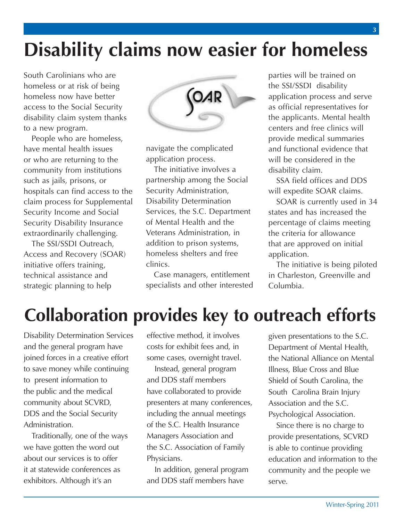# **Disability claims now easier for homeless**

 South Carolinians who are homeless now have better access to the Social Security disability claim system thanks homeless or at risk of being to a new program.

 People who are homeless, or who are returning to the community from institutions such as jails, prisons, or hospitals can find access to the claim process for Supplemental Security Income and Social Security Disability Insurance have mental health issues extraordinarily challenging.

 Access and Recovery (SOAR) The SSI/SSDI Outreach, initiative offers training, technical assistance and strategic planning to help



 navigate the complicated application process.

 The initiative involves a Services, the S.C. Department addition to prison systems, homeless shelters and free partnership among the Social Security Administration, Disability Determination of Mental Health and the Veterans Administration, in clinics.

 Case managers, entitlement specialists and other interested  application process and serve as official representatives for the applicants. Mental health centers and free clinics will provide medical summaries parties will be trained on the SSI/SSDI disability and functional evidence that will be considered in the disability claim.

 SSA field offices and DDS will expedite SOAR claims.

SOAR is currently used in 34 states and has increased the percentage of claims meeting the criteria for allowance that are approved on initial application.

 The initiative is being piloted in Charleston, Greenville and Columbia.

# **Collaboration provides key to outreach efforts**

Disability Determination Services and the general program have joined forces in a creative effort to save money while continuing to present information to the public and the medical community about SCVRD, DDS and the Social Security Administration.

Traditionally, one of the ways we have gotten the word out about our services is to offer it at statewide conferences as exhibitors. Although it's an

effective method, it involves costs for exhibit fees and, in some cases, overnight travel.

Instead, general program and DDS staff members have collaborated to provide presenters at many conferences, including the annual meetings of the S.C. Health Insurance Managers Association and the S.C. Association of Family Physicians.

In addition, general program and DDS staff members have

given presentations to the S.C. Department of Mental Health, the National Alliance on Mental Illness, Blue Cross and Blue Shield of South Carolina, the South Carolina Brain Injury Association and the S.C. Psychological Association.

Since there is no charge to provide presentations, SCVRD is able to continue providing education and information to the community and the people we serve.